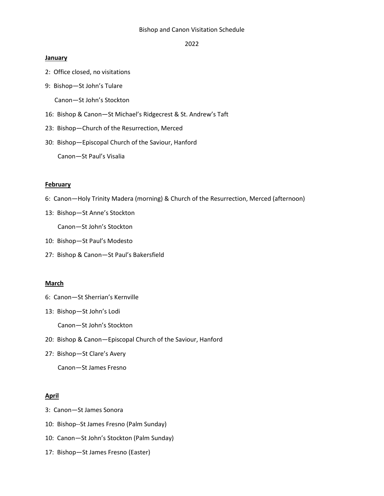#### Bishop and Canon Visitation Schedule

2022

#### **January**

- 2: Office closed, no visitations
- 9: Bishop—St John's Tulare

Canon—St John's Stockton

- 16: Bishop & Canon—St Michael's Ridgecrest & St. Andrew's Taft
- 23: Bishop—Church of the Resurrection, Merced
- 30: Bishop—Episcopal Church of the Saviour, Hanford

Canon—St Paul's Visalia

#### **February**

- 6: Canon—Holy Trinity Madera (morning) & Church of the Resurrection, Merced (afternoon)
- 13: Bishop—St Anne's Stockton
	- Canon—St John's Stockton
- 10: Bishop—St Paul's Modesto
- 27: Bishop & Canon—St Paul's Bakersfield

### **March**

- 6: Canon—St Sherrian's Kernville
- 13: Bishop—St John's Lodi

Canon—St John's Stockton

- 20: Bishop & Canon—Episcopal Church of the Saviour, Hanford
- 27: Bishop—St Clare's Avery

Canon—St James Fresno

### **April**

- 3: Canon—St James Sonora
- 10: Bishop--St James Fresno (Palm Sunday)
- 10: Canon—St John's Stockton (Palm Sunday)
- 17: Bishop—St James Fresno (Easter)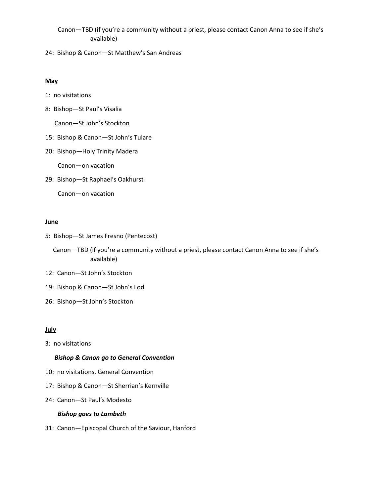- Canon—TBD (if you're a community without a priest, please contact Canon Anna to see if she's available)
- 24: Bishop & Canon—St Matthew's San Andreas

### **May**

- 1: no visitations
- 8: Bishop—St Paul's Visalia

Canon—St John's Stockton

- 15: Bishop & Canon—St John's Tulare
- 20: Bishop—Holy Trinity Madera

Canon—on vacation

29: Bishop—St Raphael's Oakhurst

Canon—on vacation

### **June**

- 5: Bishop—St James Fresno (Pentecost)
	- Canon—TBD (if you're a community without a priest, please contact Canon Anna to see if she's available)
- 12: Canon—St John's Stockton
- 19: Bishop & Canon—St John's Lodi
- 26: Bishop—St John's Stockton

# **July**

3: no visitations

### *Bishop & Canon go to General Convention*

- 10: no visitations, General Convention
- 17: Bishop & Canon—St Sherrian's Kernville
- 24: Canon—St Paul's Modesto

# *Bishop goes to Lambeth*

31: Canon—Episcopal Church of the Saviour, Hanford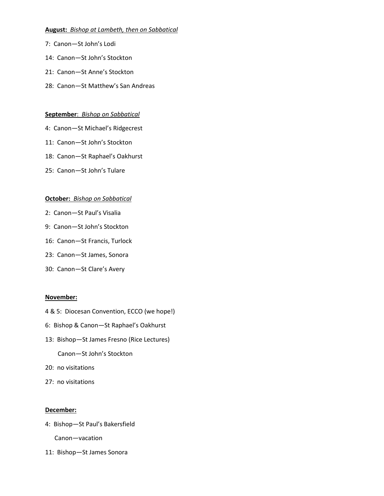# **August:** *Bishop at Lambeth, then on Sabbatical*

- 7: Canon—St John's Lodi
- 14: Canon—St John's Stockton
- 21: Canon—St Anne's Stockton
- 28: Canon—St Matthew's San Andreas

# **September**: *Bishop on Sabbatical*

- 4: Canon—St Michael's Ridgecrest
- 11: Canon—St John's Stockton
- 18: Canon—St Raphael's Oakhurst
- 25: Canon—St John's Tulare

# **October:** *Bishop on Sabbatical*

- 2: Canon—St Paul's Visalia
- 9: Canon—St John's Stockton
- 16: Canon—St Francis, Turlock
- 23: Canon—St James, Sonora
- 30: Canon—St Clare's Avery

# **November:**

- 4 & 5: Diocesan Convention, ECCO (we hope!)
- 6: Bishop & Canon—St Raphael's Oakhurst
- 13: Bishop—St James Fresno (Rice Lectures) Canon—St John's Stockton
- 20: no visitations
- 27: no visitations

# **December:**

4: Bishop—St Paul's Bakersfield

Canon—vacation

11: Bishop—St James Sonora